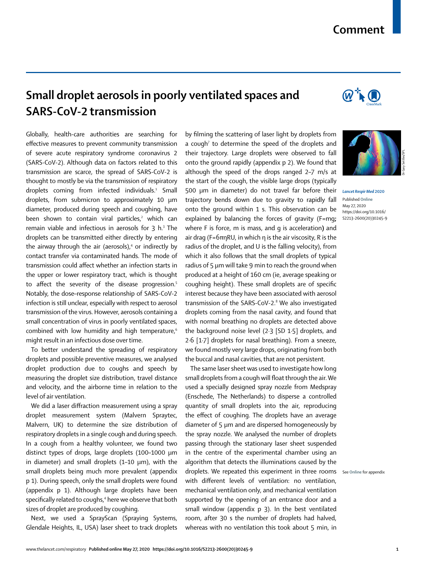## **Comment**

## **Small droplet aerosols in poorly ventilated spaces and SARS-CoV-2 transmission**

Globally, health-care authorities are searching for effective measures to prevent community transmission of severe acute respiratory syndrome coronavirus 2 (SARS-CoV-2). Although data on factors related to this transmission are scarce, the spread of SARS-CoV-2 is thought to mostly be via the transmission of respiratory droplets coming from infected individuals.<sup>1</sup> Small droplets, from submicron to approximately 10 μm diameter, produced during speech and coughing, have been shown to contain viral particles,<sup>2</sup> which can remain viable and infectious in aerosols for  $3$  h.<sup>3</sup> The droplets can be transmitted either directly by entering the airway through the air (aerosols),<sup>4</sup> or indirectly by contact transfer via contaminated hands. The mode of transmission could affect whether an infection starts in the upper or lower respiratory tract, which is thought to affect the severity of the disease progression.<sup>5</sup> Notably, the dose–response relationship of SARS-CoV-2 infection is still unclear, especially with respect to aerosol transmission of the virus. However, aerosols containing a small concentration of virus in poorly ventilated spaces, combined with low humidity and high temperature,<sup>6</sup> might result in an infectious dose over time.

To better understand the spreading of respiratory droplets and possible preventive measures, we analysed droplet production due to coughs and speech by measuring the droplet size distribution, travel distance and velocity, and the airborne time in relation to the level of air ventilation.

We did a laser diffraction measurement using a spray droplet measurement system (Malvern Spraytec, Malvern, UK) to determine the size distribution of respiratory droplets in a single cough and during speech. In a cough from a healthy volunteer, we found two distinct types of drops, large droplets (100–1000 μm in diameter) and small droplets (1–10 μm), with the small droplets being much more prevalent (appendix p 1). During speech, only the small droplets were found (appendix p 1). Although large droplets have been specifically related to coughs,<sup>4</sup> here we observe that both sizes of droplet are produced by coughing.

Next, we used a SprayScan (Spraying Systems, Glendale Heights, IL, USA) laser sheet to track droplets by filming the scattering of laser light by droplets from a cough<sup>7</sup> to determine the speed of the droplets and their trajectory. Large droplets were observed to fall onto the ground rapidly (appendix p 2). We found that although the speed of the drops ranged 2–7 m/s at the start of the cough, the visible large drops (typically 500 μm in diameter) do not travel far before their trajectory bends down due to gravity to rapidly fall onto the ground within 1 s. This observation can be explained by balancing the forces of gravity (F=mg**;**  where F is force, m is mass, and g is acceleration**)** and air drag (F=6πηRU, in which η is the air viscosity, R is the radius of the droplet, and U is the falling velocity), from which it also follows that the small droplets of typical radius of 5 μm will take 9 min to reach the ground when produced at a height of 160 cm (ie, average speaking or coughing height). These small droplets are of specific interest because they have been associated with aerosol transmission of the SARS-CoV-2.<sup>8</sup> We also investigated droplets coming from the nasal cavity, and found that with normal breathing no droplets are detected above the background noise level (2·3 [SD 1·5] droplets, and 2·6 [1·7] droplets for nasal breathing). From a sneeze, we found mostly very large drops, originating from both the buccal and nasal cavities, that are not persistent.

The same laser sheet was used to investigate how long small droplets from a cough will float through the air. We used a specially designed spray nozzle from Medspray (Enschede, The Netherlands) to disperse a controlled quantity of small droplets into the air, reproducing the effect of coughing. The droplets have an average diameter of 5 μm and are dispersed homogeneously by the spray nozzle. We analysed the number of droplets passing through the stationary laser sheet suspended in the centre of the experimental chamber using an algorithm that detects the illuminations caused by the droplets. We repeated this experiment in three rooms See **Online** for appendixwith different levels of ventilation: no ventilation, mechanical ventilation only, and mechanical ventilation supported by the opening of an entrance door and a small window (appendix p 3). In the best ventilated room, after 30 s the number of droplets had halved, whereas with no ventilation this took about 5 min, in





*Lancet Respir Med* **2020** Published **Online** May 27, 2020 https://doi.org/10.1016/ S2213-2600(20)30245-9